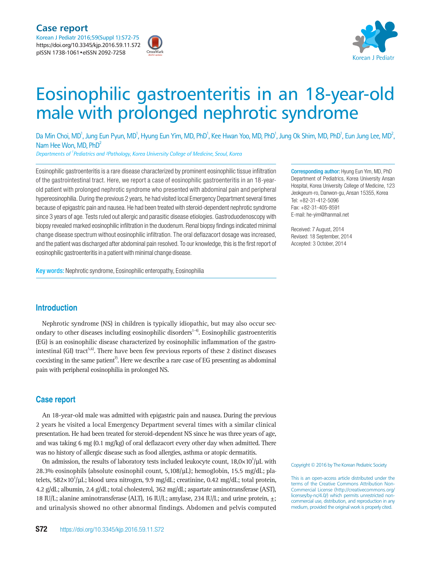



# Eosinophilic gastroenteritis in an 18-year-old male with prolonged nephrotic syndrome

Da Min Choi, MD<sup>1</sup>, Jung Eun Pyun, MD<sup>1</sup>, Hyung Eun Yim, MD, PhD<sup>1</sup>, Kee Hwan Yoo, MD, PhD<sup>1</sup>, Jung Ok Shim, MD, PhD<sup>1</sup>, Eun Jung Lee, MD<sup>2</sup>, Nam Hee Won, MD, PhD<sup>2</sup>

*Departments of 1 Pediatrics and ²Pathology, Korea University College of Medicine, Seoul, Korea*

Eosinophilic gastroenteritis is a rare disease characterized by prominent eosinophilic tissue infiltration of the gastrointestinal tract. Here, we report a case of eosinophilic gastroenteritis in an 18-yearold patient with prolonged nephrotic syndrome who presented with abdominal pain and peripheral hypereosinophilia. During the previous 2 years, he had visited local Emergency Department several times because of epigastric pain and nausea. He had been treated with steroid-dependent nephrotic syndrome since 3 years of age. Tests ruled out allergic and parasitic disease etiologies. Gastroduodenoscopy with biopsy revealed marked eosinophilic infiltration in the duodenum. Renal biopsy findings indicated minimal change disease spectrum without eosinophilic infiltration. The oral deflazacort dosage was increased, and the patient was discharged after abdominal pain resolved. To our knowledge, this is the first report of eosinophilic gastroenteritis in a patient with minimal change disease.

Key words: Nephrotic syndrome, Eosinophilic enteropathy, Eosinophilia

Corresponding author: Hyung Eun Yim, MD, PhD Department of Pediatrics, Korea University Ansan Hospital, Korea University College of Medicine, 123 Jeokgeum-ro, Danwon-gu, Ansan 15355, Korea Tel: +82-31-412-5096 Fax: +82-31-405-8591 E-mail: he-yim@hanmail.net

Received: 7 August, 2014 Revised: 18 September, 2014 Accepted: 3 October, 2014

## **Introduction**

Nephrotic syndrome (NS) in children is typically idiopathic, but may also occur secondary to other diseases including eosinophilic disorders<sup>1-4)</sup>. Eosinophilic gastroenteritis (EG) is an eosinophilic disease characterized by eosinophilic inflammation of the gastrointestinal (GI) tract<sup>5,6)</sup>. There have been few previous reports of these 2 distinct diseases coexisting in the same patient<sup>7</sup>. Here we describe a rare case of EG presenting as abdominal pain with peripheral eosinophilia in prolonged NS.

#### **Case report**

An 18-year-old male was admitted with epigastric pain and nausea. During the previous 2 years he visited a local Emergency Department several times with a similar clinical presentation. He had been treated for steroid-dependent NS since he was three years of age, and was taking 6 mg  $(0.1 \text{ mg/kg})$  of oral deflazacort every other day when admitted. There was no history of allergic disease such as food allergies, asthma or atopic dermatitis.

On admission, the results of laboratory tests included leukocyte count,  $18,0\times10^3/\mu$ L with 28.3% eosinophils (absolute eosinophil count, 5,108/µL); hemoglobin, 15.5 mg/dL; platelets, 582×10<sup>3</sup>/µL; blood urea nitrogen, 9.9 mg/dL; creatinine, 0.42 mg/dL; total protein, 4.2 g/dL; albumin, 2.4 g/dL; total cholesterol, 362 mg/dL; aspartate aminotransferase (AST), 18 IU/L; alanine aminotransferase (ALT), 16 IU/L; amylase, 234 IU/L; and urine protein, ±; and urinalysis showed no other abnormal findings. Abdomen and pelvis computed

Copyright © 2016 by The Korean Pediatric Society

This is an open-access article distributed under the terms of the Creative Commons Attribution Non-Commercial License (http://creativecommons.org/ licenses/by-nc/4.0/) which permits unrestricted noncommercial use, distribution, and reproduction in any medium, provided the original work is properly cited.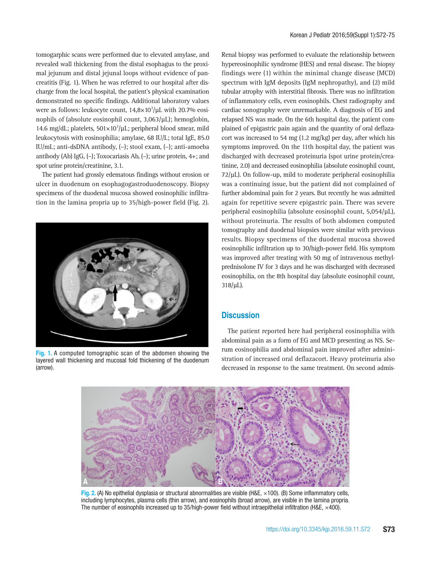tomogarphic scans were performed due to elevated amylase, and revealed wall thickening from the distal esophagus to the proximal jejunum and distal jejunal loops without evidence of pancreatitis (Fig. 1). When he was referred to our hospital after discharge from the local hospital, the patient's physical examination demonstrated no specific findings. Additional laboratory values were as follows: leukocyte count,  $14.8\times10^3/\mu$ L with 20.7% eosinophils of (absolute eosinophil count, 3,063/µL); hemoglobin, 14.6 mg/dL; platelets,  $501 \times 10^3/\mu$ L; peripheral blood smear, mild leukocytosis with eosinophilia; amylase, 68 IU/L; total IgE, 85.0 IU/mL; anti-dsDNA antibody, (–); stool exam, (–); anti-amoeba antibody (Ab) IgG, (–); Toxocariasis Ab, (–); urine protein, 4+; and spot urine protein/creatinine, 3.1.

The patient had grossly edematous findings without erosion or ulcer in duodenum on esophagogastroduodenoscopy. Biopsy specimens of the duodenal mucosa showed eosinophilic infiltration in the lamina propria up to 35/high-power field (Fig. 2).



**Fig. 1.** A computed tomographic scan of the abdomen showing the layered wall thickening and mucosal fold thickening of the duodenum (arrow).

Renal biopsy was performed to evaluate the relationship between hypereosinophilic syndrome (HES) and renal disease. The biopsy findings were (1) within the minimal change disease (MCD) spectrum with IgM deposits (IgM nephropathy), and (2) mild tubular atrophy with interstitial fibrosis. There was no infiltration of inflammatory cells, even eosinophils. Chest radiography and cardiac sonography were unremarkable. A diagnosis of EG and relapsed NS was made. On the 6th hospital day, the patient complained of epigastric pain again and the quantity of oral deflazacort was increased to 54 mg (1.2 mg/kg) per day, after which his symptoms improved. On the 11th hospital day, the patient was discharged with decreased proteinuria (spot urine protein/creatinine, 2.0) and decreased eosinophilia (absolute eosinophil count,  $72/\mu$ L). On follow-up, mild to moderate peripheral eosinophilia was a continuing issue, but the patient did not complained of further abdominal pain for 2 years. But recently he was admitted again for repetitive severe epigastric pain. There was severe peripheral eosinophilia (absolute eosinophil count, 5,054/µL), without proteinuria. The results of both abdomen computed tomography and duodenal biopsies were similar with previous results. Biopsy specimens of the duodenal mucosa showed eosinophilic infiltration up to 30/high-power field. His symptom was improved after treating with 50 mg of intravenous methylprednisolone IV for 3 days and he was discharged with decreased eosinophilia, on the 8th hospital day (absolute eosinophil count, 318/µL).

#### **Discussion**

The patient reported here had peripheral eosinophilia with abdominal pain as a form of EG and MCD presenting as NS. Serum eosinophilia and abdominal pain improved after administration of increased oral deflazacort. Heavy proteinuria also decreased in response to the same treatment. On second admis-



**Fig. 2.** (A) No epithelial dysplasia or structural abnormalities are visible (H&E, ×100). (B) Some inflammatory cells, including lymphocytes, plasma cells (thin arrow), and eosinophils (broad arrow), are visible in the lamina propria. The number of eosinophils increased up to 35/high-power field without intraepithelial infiltration (H&E,  $\times$ 400).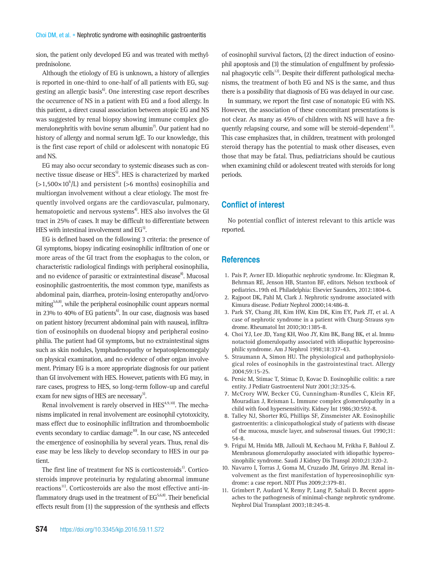sion, the patient only developed EG and was treated with methylprednisolone.

Although the etiology of EG is unknown, a history of allergies is reported in one-third to one-half of all patients with EG, suggesting an allergic basis<sup>6</sup>. One interesting case report describes the occurrence of NS in a patient with EG and a food allergy. In this patient, a direct causal association between atopic EG and NS was suggested by renal biopsy showing immune complex glomerulonephritis with bovine serum albumin<sup>7</sup>. Our patient had no history of allergy and normal serum IgE. To our knowledge, this is the first case report of child or adolescent with nonatopic EG and NS.

EG may also occur secondary to systemic diseases such as connective tissue disease or HES<sup>5)</sup>. HES is characterized by marked  $(>1,500\times10^6/L)$  and persistent ( $>6$  months) eosinophilia and multiorgan involvement without a clear etiology. The most frequently involved organs are the cardiovascular, pulmonary, hematopoietic and nervous systems<sup>4</sup>. HES also involves the GI tract in 25% of cases. It may be difficult to differentiate between HES with intestinal involvement and  $EG<sup>5</sup>$ .

EG is defined based on the following 3 criteria: the presence of GI symptoms, biopsy indicating eosinophilic infiltration of one or more areas of the GI tract from the esophagus to the colon, or characteristic radiological findings with peripheral eosinophilia, and no evidence of parasitic or extraintestinal disease<sup>8</sup>. Mucosal eosinophilic gastroenteritis, the most common type, manifests as abdominal pain, diarrhea, protein-losing enteropathy and/orvomiting<sup>5,6,8)</sup>, while the peripheral eosinophilic count appears normal in 23% to 40% of EG patients<sup>6</sup>. In our case, diagnosis was based on patient history (recurrent abdominal pain with nausea), infiltration of eosinophils on duodenal biopsy and peripheral eosinophilia. The patient had GI symptoms, but no extraintestinal signs such as skin nodules, lymphadenopathy or hepatosplenomegaly on physical examination, and no evidence of other organ involvement. Primary EG is a more appropriate diagnosis for our patient than GI involvement with HES. However, patients with EG may, in rare cases, progress to HES, so long-term follow-up and careful exam for new signs of HES are necessary<sup>5)</sup>.

Renal involvement is rarely observed in  $HES<sup>4,9,10</sup>$ . The mechanisms implicated in renal involvement are eosinophil cytotoxicity, mass effect due to eosinophilic infiltration and thromboembolic events secondary to cardiac damage<sup>10</sup>. In our case, NS anteceded the emergence of eosinophilia by several years. Thus, renal disease may be less likely to develop secondary to HES in our patient.

The first line of treatment for NS is corticosteroids<sup>1)</sup>. Corticosteroids improve proteinuria by regulating abnormal immune reactions<sup>11</sup>. Corticosteroids are also the most effective anti-inflammatory drugs used in the treatment of  $EG<sup>5,6,8</sup>$ . Their beneficial effects result from (1) the suppression of the synthesis and effects of eosinophil survival factors, (2) the direct induction of eosinophil apoptosis and (3) the stimulation of engulfment by professional phagocytic cells<sup>12)</sup>. Despite their different pathological mechanisms, the treatment of both EG and NS is the same, and thus there is a possibility that diagnosis of EG was delayed in our case.

In summary, we report the first case of nonatopic EG with NS. However, the association of these concomitant presentations is not clear. As many as 45% of children with NS will have a frequently relapsing course, and some will be steroid-dependent<sup>13)</sup>. This case emphasizes that, in children, treatment with prolonged steroid therapy has the potential to mask other diseases, even those that may be fatal. Thus, pediatricians should be cautious when examining child or adolescent treated with steroids for long periods.

## **Conflict of interest**

No potential conflict of interest relevant to this article was reported.

### **References**

- 1. Pais P, Avner ED. Idiopathic nephrotic syndrome. In: Kliegman R, Behrman RE, Jenson HB, Stanton BF, editors. Nelson textbook of pediatrics..19th ed. Philadelphia: Elsevier Saunders, 2012:1804-6.
- 2. Rajpoot DK, Pahl M, Clark J. Nephrotic syndrome associated with Kimura disease. Pediatr Nephrol 2000;14:486-8.
- 3. Park SY, Chang JH, Kim HW, Kim DK, Kim EY, Park JT, et al. A case of nephrotic syndrome in a patient with Churg-Strauss syndrome. Rheumatol Int 2010;30:1385-8.
- 4. Choi YJ, Lee JD, Yang KH, Woo JY, Kim BK, Bang BK, et al. Immunotactoid glomerulopathy associated with idiopathic hypereosinophilic syndrome. Am J Nephrol 1998;18:337-43.
- 5. Straumann A, Simon HU. The physiological and pathophysiological roles of eosinophils in the gastrointestinal tract. Allergy 2004;59:15-25.
- 6. Persic M, Stimac T, Stimac D, Kovac D. Eosinophilic colitis: a rare entity. J Pediatr Gastroenterol Nutr 2001;32:325-6.
- 7. McCrory WW, Becker CG, Cunningham-Rundles C, Klein RF, Mouradian J, Reisman L. Immune complex glomerulopathy in a child with food hypersensitivity. Kidney Int 1986;30:592-8.
- 8. Talley NJ, Shorter RG, Phillips SF, Zinsmeister AR. Eosinophilic gastroenteritis: a clinicopathological study of patients with disease of the mucosa, muscle layer, and subserosal tissues. Gut 1990;31: 54-8.
- 9. Frigui M, Hmida MB, Jallouli M, Kechaou M, Frikha F, Bahloul Z. Membranous glomerulopathy associated with idiopathic hypereosinophilic syndrome. Saudi J Kidney Dis Transpl 2010;21:320-2.
- 10. Navarro I, Torras J, Goma M, Cruzado JM, Grinyo JM. Renal involvement as the first manifestation of hypereosinophilic syndrome: a case report. NDT Plus 2009;2:379-81.
- 11. Grimbert P, Audard V, Remy P, Lang P, Sahali D. Recent approaches to the pathogenesis of minimal-change nephrotic syndrome. Nephrol Dial Transplant 2003;18:245-8.